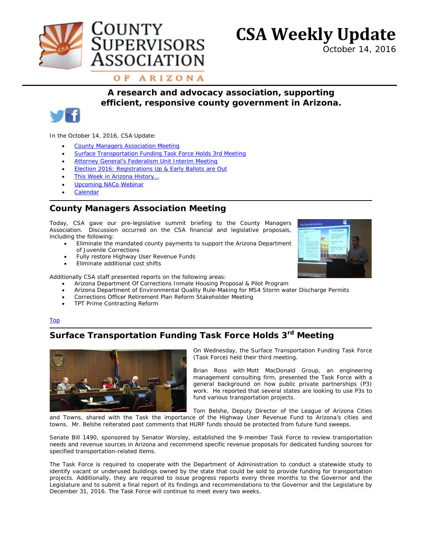



*October 14, 2016*

OF ARIZONA

**JPERVISORS** 

SSOCIATION

### *A research and advocacy association, supporting efficient, responsive county government in Arizona.*



In the October 14, 2016, CSA Update:

- **[County Managers Association Meeting](#page-0-0)**
- **[Surface Transportation Funding Task Force Holds 3rd Meeting](#page-0-1)**
- **[Attorney General's Federalism Unit Interim Meeting](#page-1-0)**

**OUNTY** 

- **[Election 2016: Registrations Up & Early Ballots are Out](#page-1-1)**
- [This Week in Arizona History…](#page-1-2)
- [Upcoming NACo Webinar](#page-2-0)
- **[Calendar](http://www.countysupervisors.org/calendar/)**

## <span id="page-0-0"></span>**County Managers Association Meeting**

Today, CSA gave our pre-legislative summit briefing to the County Managers Association. Discussion occurred on the CSA financial and legislative proposals, including the following:

- Eliminate the mandated county payments to support the Arizona Department of Juvenile Corrections
- Fully restore Highway User Revenue Funds
- Eliminate additional cost shifts

Additionally CSA staff presented reports on the following areas:

- Arizona Department Of Corrections Inmate Housing Proposal & Pilot Program
- Arizona Department of Environmental Quality Rule-Making for MS4 Storm water Discharge Permits
- Corrections Officer Retirement Plan Reform Stakeholder Meeting
- TPT Prime Contracting Reform

#### Top

# <span id="page-0-1"></span>**Surface Transportation Funding Task Force Holds 3rd Meeting**



On Wednesday, the Surface Transportation Funding Task Force (Task Force) held their third meeting.

Brian Ross with Mott MacDonald Group, an engineering management consulting firm, presented the Task Force with a general background on how public private partnerships (P3) work. He reported that several states are looking to use P3s to fund various transportation projects.

Tom Belshe, Deputy Director of the League of Arizona Cities and Towns, shared with the Task the importance of the Highway User Revenue Fund to Arizona's cities and towns. Mr. Belshe reiterated past comments that HURF funds should be protected from future fund sweeps.

Senate Bill 1490, sponsored by Senator Worsley, established the 9-member Task Force to review transportation needs and revenue sources in Arizona and recommend specific revenue proposals for dedicated funding sources for specified transportation-related items.

The Task Force is required to cooperate with the Department of Administration to conduct a statewide study to identify vacant or underused buildings owned by the state that could be sold to provide funding for transportation projects. Additionally, they are required to issue progress reports every three months to the Governor and the Legislature and to submit a final report of its findings and recommendations to the Governor and the Legislature by December 31, 2016. The Task Force will continue to meet every two weeks.

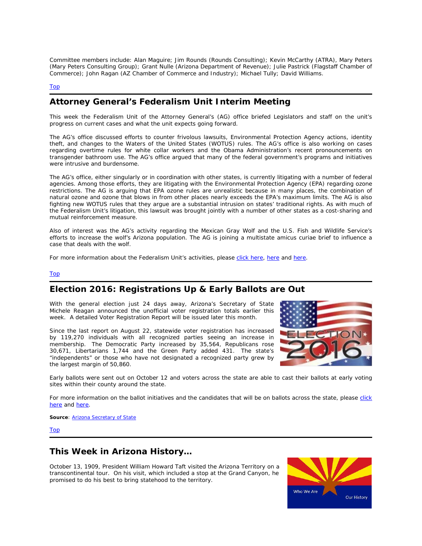Committee members include: Alan Maguire; Jim Rounds (Rounds Consulting); Kevin McCarthy (ATRA), Mary Peters (Mary Peters Consulting Group); Grant Nulle (Arizona Department of Revenue); Julie Pastrick (Flagstaff Chamber of Commerce); John Ragan (AZ Chamber of Commerce and Industry); Michael Tully; David Williams.

#### Top

### <span id="page-1-0"></span>**Attorney General's Federalism Unit Interim Meeting**

This week the Federalism Unit of the Attorney General's (AG) office briefed Legislators and staff on the unit's progress on current cases and what the unit expects going forward.

The AG's office discussed efforts to counter frivolous lawsuits, Environmental Protection Agency actions, identity theft, and changes to the Waters of the United States (WOTUS) rules. The AG's office is also working on cases regarding overtime rules for white collar workers and the Obama Administration's recent pronouncements on transgender bathroom use. The AG's office argued that many of the federal government's programs and initiatives were intrusive and burdensome.

The AG's office, either singularly or in coordination with other states, is currently litigating with a number of federal agencies. Among those efforts, they are litigating with the Environmental Protection Agency (EPA) regarding ozone restrictions. The AG is arguing that EPA ozone rules are unrealistic because in many places, the combination of natural ozone and ozone that blows in from other places nearly exceeds the EPA's maximum limits. The AG is also fighting new WOTUS rules that they argue are a substantial intrusion on states' traditional rights. As with much of the Federalism Unit's litigation, this lawsuit was brought jointly with a number of other states as a cost-sharing and mutual reinforcement measure.

Also of interest was the AG's activity regarding the Mexican Gray Wolf and the U.S. Fish and Wildlife Service's efforts to increase the wolf's Arizona population. The AG is joining a multistate amicus curiae brief to influence a case that deals with the wolf.

For more information about the Federalism Unit's activities, please [click here,](https://www.azag.gov/press-release/arizona-leads-16-states-supporting-legal-challenge-dcs-anti-second-amendment-ordinance) [here](https://www.azag.gov/latest-news/azag-federalism-unit-scores-9th-circuit-victory) and [here.](https://www.azag.gov/press-release/ag-brnovich-statement-u-s-supreme-court-grants-stay-blocking-epa-clean-power-plan)

#### Top

### <span id="page-1-1"></span>**Election 2016: Registrations Up & Early Ballots are Out**

With the general election just 24 days away, Arizona's Secretary of State Michele Reagan announced the unofficial voter registration totals earlier this week. A detailed Voter Registration Report will be issued later this month.

Since the last report on August 22, statewide voter registration has increased by 119,270 individuals with all recognized parties seeing an increase in membership. The Democratic Party increased by 35,564, Republicans rose 30,671, Libertarians 1,744 and the Green Party added 431. The state's "independents" or those who have not designated a recognized party grew by the largest margin of 50,860.



Early ballots were sent out on October 12 and voters across the state are able to cast their ballots at early voting sites within their county around the state.

For more information on the ballot initiatives and the candidates that will be on ballots across the state, please click [here](http://www.countysupervisors.org/research/elections/) and [here.](http://www.arizona.vote/)

**Source[: Arizona Secretary of State](http://www.azsos.gov/)** 

Top

#### <span id="page-1-2"></span>**This Week in Arizona History…**

October 13, 1909, President William Howard Taft visited the Arizona Territory on a transcontinental tour. On his visit, which included a stop at the Grand Canyon, he promised to do his best to bring statehood to the territory.